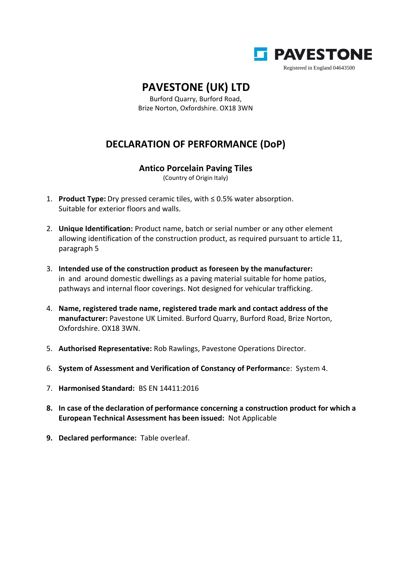

## **PAVESTONE (UK) LTD**

Burford Quarry, Burford Road, Brize Norton, Oxfordshire. OX18 3WN

## **DECLARATION OF PERFORMANCE (DoP)**

## **Antico Porcelain Paving Tiles**

(Country of Origin Italy)

- 1. **Product Type:** Dry pressed ceramic tiles, with ≤ 0.5% water absorption. Suitable for exterior floors and walls.
- 2. **Unique Identification:** Product name, batch or serial number or any other element allowing identification of the construction product, as required pursuant to article 11, paragraph 5
- 3. **Intended use of the construction product as foreseen by the manufacturer:** in and around domestic dwellings as a paving material suitable for home patios, pathways and internal floor coverings. Not designed for vehicular trafficking.
- 4. **Name, registered trade name, registered trade mark and contact address of the manufacturer:** Pavestone UK Limited. Burford Quarry, Burford Road, Brize Norton, Oxfordshire. OX18 3WN.
- 5. **Authorised Representative:** Rob Rawlings, Pavestone Operations Director.
- 6. **System of Assessment and Verification of Constancy of Performanc**e: System 4.
- 7. **Harmonised Standard:** BS EN 14411:2016
- **8. In case of the declaration of performance concerning a construction product for which a European Technical Assessment has been issued:** Not Applicable
- **9. Declared performance:** Table overleaf.